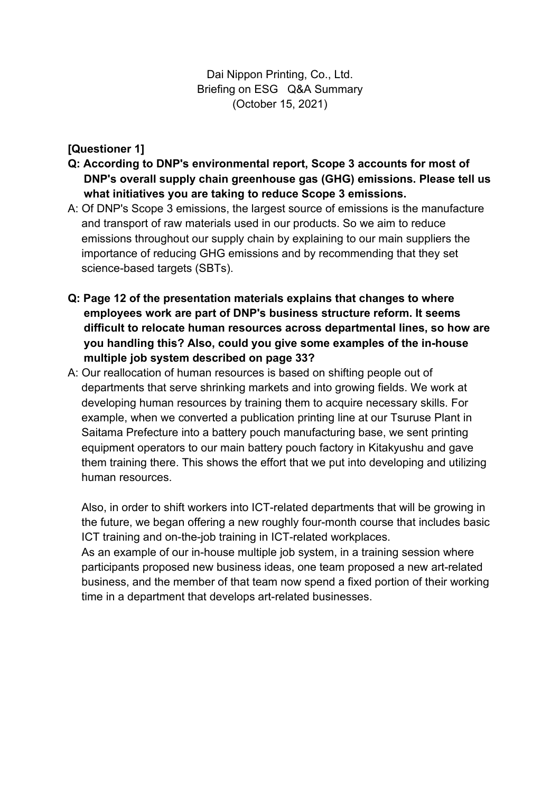Dai Nippon Printing, Co., Ltd. Briefing on ESG Q&A Summary (October 15, 2021)

## **[Questioner 1]**

- **Q: According to DNP's environmental report, Scope 3 accounts for most of DNP's overall supply chain greenhouse gas (GHG) emissions. Please tell us what initiatives you are taking to reduce Scope 3 emissions.**
- A: Of DNP's Scope 3 emissions, the largest source of emissions is the manufacture and transport of raw materials used in our products. So we aim to reduce emissions throughout our supply chain by explaining to our main suppliers the importance of reducing GHG emissions and by recommending that they set science-based targets (SBTs).
- **Q: Page 12 of the presentation materials explains that changes to where employees work are part of DNP's business structure reform. It seems difficult to relocate human resources across departmental lines, so how are you handling this? Also, could you give some examples of the in-house multiple job system described on page 33?**
- A: Our reallocation of human resources is based on shifting people out of departments that serve shrinking markets and into growing fields. We work at developing human resources by training them to acquire necessary skills. For example, when we converted a publication printing line at our Tsuruse Plant in Saitama Prefecture into a battery pouch manufacturing base, we sent printing equipment operators to our main battery pouch factory in Kitakyushu and gave them training there. This shows the effort that we put into developing and utilizing human resources.

Also, in order to shift workers into ICT-related departments that will be growing in the future, we began offering a new roughly four-month course that includes basic ICT training and on-the-job training in ICT-related workplaces.

As an example of our in-house multiple job system, in a training session where participants proposed new business ideas, one team proposed a new art-related business, and the member of that team now spend a fixed portion of their working time in a department that develops art-related businesses.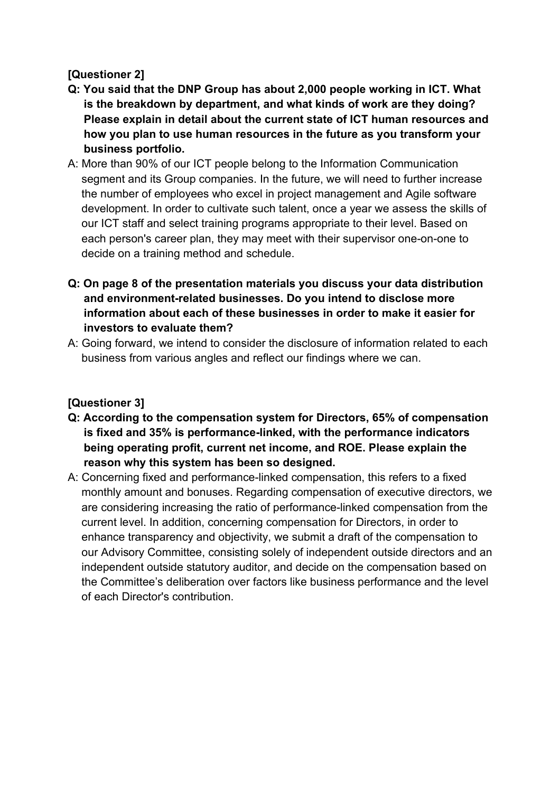# **[Questioner 2]**

- **Q: You said that the DNP Group has about 2,000 people working in ICT. What is the breakdown by department, and what kinds of work are they doing? Please explain in detail about the current state of ICT human resources and how you plan to use human resources in the future as you transform your business portfolio.**
- A: More than 90% of our ICT people belong to the Information Communication segment and its Group companies. In the future, we will need to further increase the number of employees who excel in project management and Agile software development. In order to cultivate such talent, once a year we assess the skills of our ICT staff and select training programs appropriate to their level. Based on each person's career plan, they may meet with their supervisor one-on-one to decide on a training method and schedule.
- **Q: On page 8 of the presentation materials you discuss your data distribution and environment-related businesses. Do you intend to disclose more information about each of these businesses in order to make it easier for investors to evaluate them?**
- A: Going forward, we intend to consider the disclosure of information related to each business from various angles and reflect our findings where we can.

# **[Questioner 3]**

- **Q: According to the compensation system for Directors, 65% of compensation is fixed and 35% is performance-linked, with the performance indicators being operating profit, current net income, and ROE. Please explain the reason why this system has been so designed.**
- A: Concerning fixed and performance-linked compensation, this refers to a fixed monthly amount and bonuses. Regarding compensation of executive directors, we are considering increasing the ratio of performance-linked compensation from the current level. In addition, concerning compensation for Directors, in order to enhance transparency and objectivity, we submit a draft of the compensation to our Advisory Committee, consisting solely of independent outside directors and an independent outside statutory auditor, and decide on the compensation based on the Committee's deliberation over factors like business performance and the level of each Director's contribution.